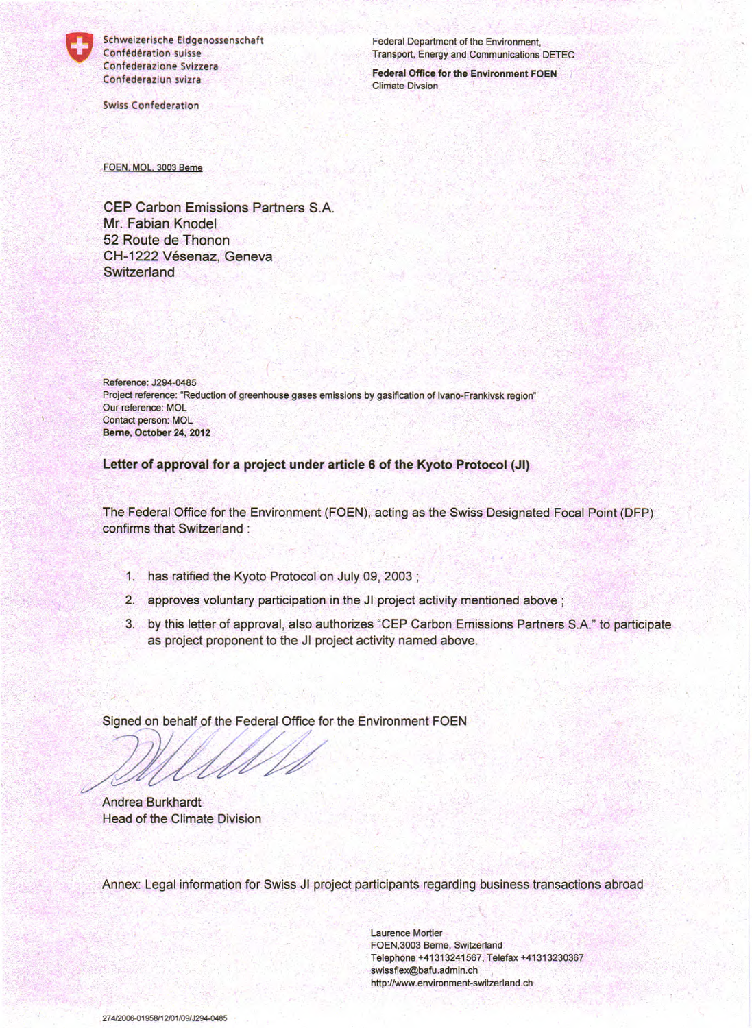

Schweizerische Eidgenossenschaft Confédération suisse Confederazione Svizzera Confederaziun svizra

**Swiss Confederation** 

Federal Department of the Environment. Transport, Energy and Communications DETEC

**Federal Office for the Environment FOEN Climate Divsion** 

FOEN, MOL, 3003 Berne

CEP Carbon Emissions Partners S.A. Mr. Fabian Knodel 52 Route de Thonon CH-1222 Vésenaz, Geneva **Switzerland** 

Reference: J294-0485 Project reference: "Reduction of greenhouse gases emissions by gasification of Ivano-Frankivsk region" Our reference: MOL Contact person: MOL Berne, October 24, 2012

Letter of approval for a project under article 6 of the Kyoto Protocol (JI)

The Federal Office for the Environment (FOEN), acting as the Swiss Designated Focal Point (DFP) confirms that Switzerland :

- 1. has ratified the Kyoto Protocol on July 09, 2003;
- 2. approves voluntary participation in the JI project activity mentioned above;
- 3. by this letter of approval, also authorizes "CEP Carbon Emissions Partners S.A." to participate as project proponent to the JI project activity named above.

Signed on behalf of the Federal Office for the Environment FOEN

**Andrea Burkhardt Head of the Climate Division** 

Annex: Legal information for Swiss JI project participants regarding business transactions abroad

**Laurence Mortier** FOEN, 3003 Berne, Switzerland Telephone +41313241567, Telefax +41313230367 swissflex@bafu.admin.ch http://www.environment-switzerland.ch